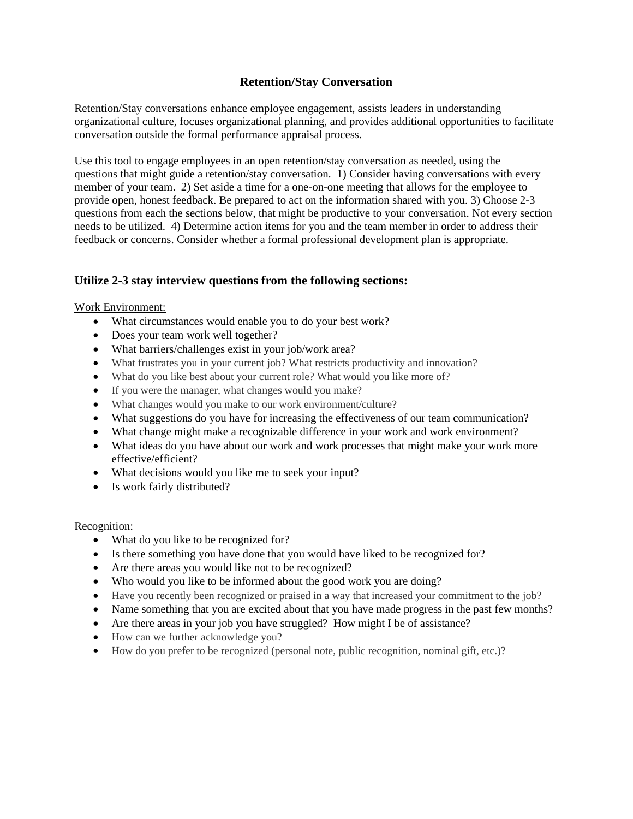# **Retention/Stay Conversation**

Retention/Stay conversations enhance employee engagement, assists leaders in understanding organizational culture, focuses organizational planning, and provides additional opportunities to facilitate conversation outside the formal performance appraisal process.

Use this tool to engage employees in an open retention/stay conversation as needed, using the questions that might guide a retention/stay conversation. 1) Consider having conversations with every member of your team. 2) Set aside a time for a one-on-one meeting that allows for the employee to provide open, honest feedback. Be prepared to act on the information shared with you. 3) Choose 2-3 questions from each the sections below, that might be productive to your conversation. Not every section needs to be utilized. 4) Determine action items for you and the team member in order to address their feedback or concerns. Consider whether a formal professional development plan is appropriate.

## **Utilize 2-3 stay interview questions from the following sections:**

### Work Environment:

- What circumstances would enable you to do your best work?
- Does your team work well together?
- What barriers/challenges exist in your job/work area?
- What frustrates you in your current job? What restricts productivity and innovation?
- What do you like best about your current role? What would you like more of?
- If you were the manager, what changes would you make?
- What changes would you make to our work environment/culture?
- What suggestions do you have for increasing the effectiveness of our team communication?
- What change might make a recognizable difference in your work and work environment?
- What ideas do you have about our work and work processes that might make your work more effective/efficient?
- What decisions would you like me to seek your input?
- Is work fairly distributed?

### Recognition:

- What do you like to be recognized for?
- Is there something you have done that you would have liked to be recognized for?
- Are there areas you would like not to be recognized?
- Who would you like to be informed about the good work you are doing?
- Have you recently been recognized or praised in a way that increased your commitment to the job?
- Name something that you are excited about that you have made progress in the past few months?
- Are there areas in your job you have struggled? How might I be of assistance?
- How can we further acknowledge you?
- How do you prefer to be recognized (personal note, public recognition, nominal gift, etc.)?